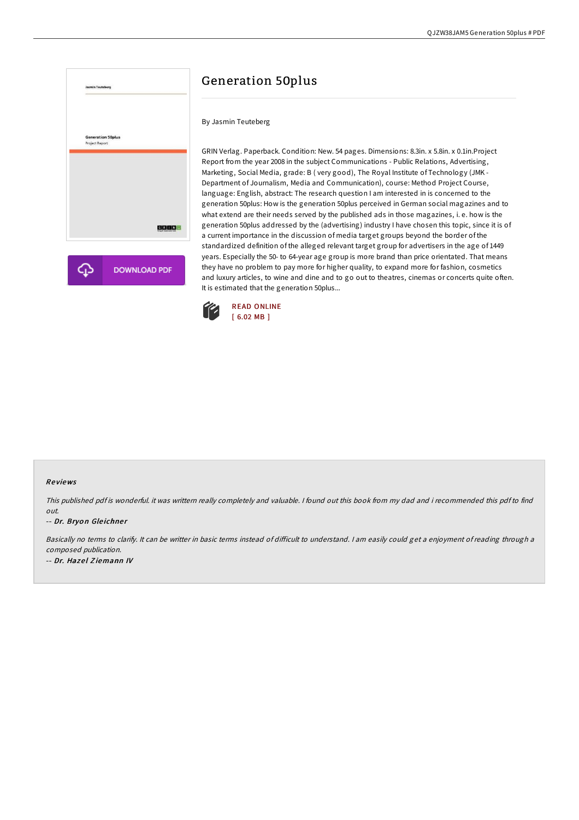

# Generation 50plus

## By Jasmin Teuteberg

GRIN Verlag. Paperback. Condition: New. 54 pages. Dimensions: 8.3in. x 5.8in. x 0.1in.Project Report from the year 2008 in the subject Communications - Public Relations, Advertising, Marketing, Social Media, grade: B ( very good), The Royal Institute of Technology (JMK - Department of Journalism, Media and Communication), course: Method Project Course, language: English, abstract: The research question I am interested in is concerned to the generation 50plus: How is the generation 50plus perceived in German social magazines and to what extend are their needs served by the published ads in those magazines, i. e. how is the generation 50plus addressed by the (advertising) industry I have chosen this topic, since it is of a current importance in the discussion of media target groups beyond the border of the standardized definition of the alleged relevant target group for advertisers in the age of 1449 years. Especially the 50- to 64-year age group is more brand than price orientated. That means they have no problem to pay more for higher quality, to expand more for fashion, cosmetics and luxury articles, to wine and dine and to go out to theatres, cinemas or concerts quite often. It is estimated that the generation 50plus...



### Re views

This published pdf is wonderful. it was writtern really completely and valuable. I found out this book from my dad and i recommended this pdf to find out.

#### -- Dr. Bryon Gleichner

Basically no terms to clarify. It can be writter in basic terms instead of difficult to understand. I am easily could get a enjoyment of reading through a composed publication. -- Dr. Hazel Ziemann IV